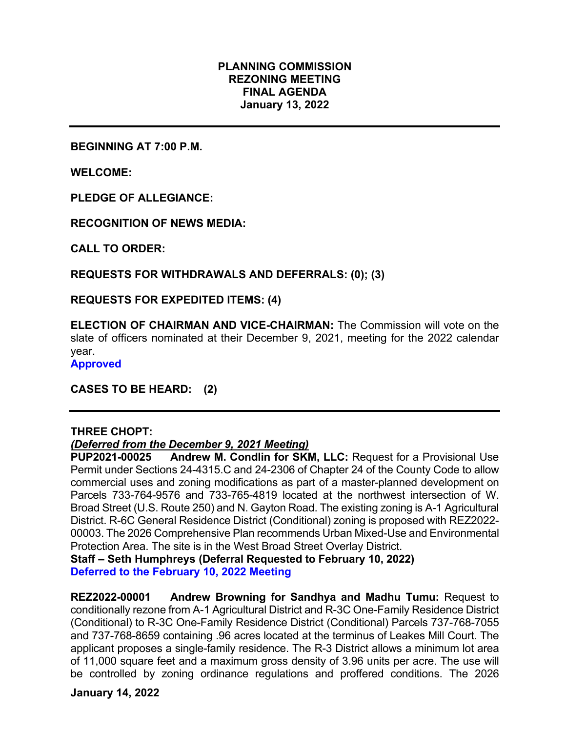# **PLANNING COMMISSION REZONING MEETING FINAL AGENDA January 13, 2022**

**BEGINNING AT 7:00 P.M.**

**WELCOME:**

**PLEDGE OF ALLEGIANCE:**

**RECOGNITION OF NEWS MEDIA:**

**CALL TO ORDER:**

**REQUESTS FOR WITHDRAWALS AND DEFERRALS: (0); (3)**

**REQUESTS FOR EXPEDITED ITEMS: (4)**

**ELECTION OF CHAIRMAN AND VICE-CHAIRMAN:** The Commission will vote on the slate of officers nominated at their December 9, 2021, meeting for the 2022 calendar year.

**Approved** 

**CASES TO BE HEARD: (2)**

### **THREE CHOPT:**

### *(Deferred from the December 9, 2021 Meeting)*

**PUP2021-00025 Andrew M. Condlin for SKM, LLC:** Request for a Provisional Use Permit under Sections 24-4315.C and 24-2306 of Chapter 24 of the County Code to allow commercial uses and zoning modifications as part of a master-planned development on Parcels 733-764-9576 and 733-765-4819 located at the northwest intersection of W. Broad Street (U.S. Route 250) and N. Gayton Road. The existing zoning is A-1 Agricultural District. R-6C General Residence District (Conditional) zoning is proposed with REZ2022- 00003. The 2026 Comprehensive Plan recommends Urban Mixed-Use and Environmental Protection Area. The site is in the West Broad Street Overlay District.

**Staff – Seth Humphreys (Deferral Requested to February 10, 2022) Deferred to the February 10, 2022 Meeting**

**REZ2022-00001 Andrew Browning for Sandhya and Madhu Tumu:** Request to conditionally rezone from A-1 Agricultural District and R-3C One-Family Residence District (Conditional) to R-3C One-Family Residence District (Conditional) Parcels 737-768-7055 and 737-768-8659 containing .96 acres located at the terminus of Leakes Mill Court. The applicant proposes a single-family residence. The R-3 District allows a minimum lot area of 11,000 square feet and a maximum gross density of 3.96 units per acre. The use will be controlled by zoning ordinance regulations and proffered conditions. The 2026

**January 14, 2022**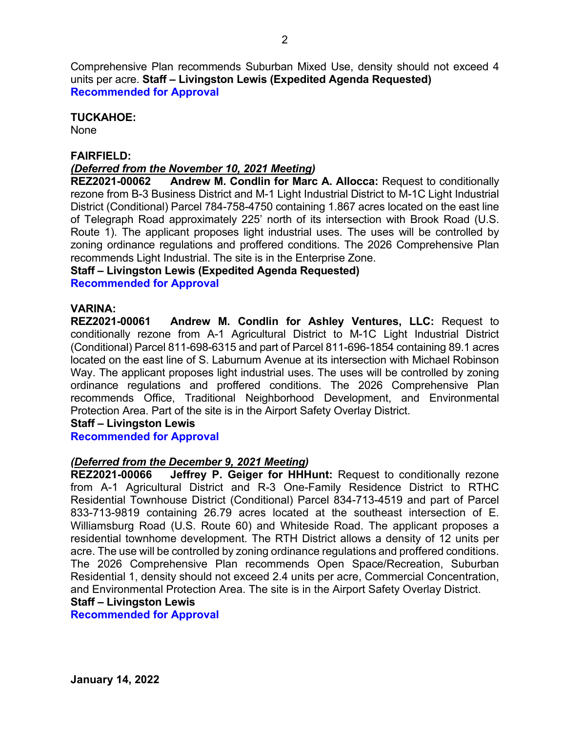Comprehensive Plan recommends Suburban Mixed Use, density should not exceed 4 units per acre. **Staff – Livingston Lewis (Expedited Agenda Requested) Recommended for Approval**

# **TUCKAHOE:**

None

# **FAIRFIELD:**

# *(Deferred from the November 10, 2021 Meeting)*

**REZ2021-00062 Andrew M. Condlin for Marc A. Allocca:** Request to conditionally rezone from B-3 Business District and M-1 Light Industrial District to M-1C Light Industrial District (Conditional) Parcel 784-758-4750 containing 1.867 acres located on the east line of Telegraph Road approximately 225' north of its intersection with Brook Road (U.S. Route 1). The applicant proposes light industrial uses. The uses will be controlled by zoning ordinance regulations and proffered conditions. The 2026 Comprehensive Plan recommends Light Industrial. The site is in the Enterprise Zone.

### **Staff – Livingston Lewis (Expedited Agenda Requested)**

**Recommended for Approval**

**VARINA:** Andrew M. Condlin for Ashley Ventures, LLC: Request to conditionally rezone from A-1 Agricultural District to M-1C Light Industrial District (Conditional) Parcel 811-698-6315 and part of Parcel 811-696-1854 containing 89.1 acres located on the east line of S. Laburnum Avenue at its intersection with Michael Robinson Way. The applicant proposes light industrial uses. The uses will be controlled by zoning ordinance regulations and proffered conditions. The 2026 Comprehensive Plan recommends Office, Traditional Neighborhood Development, and Environmental Protection Area. Part of the site is in the Airport Safety Overlay District.

# **Staff – Livingston Lewis**

**Recommended for Approval**

### *(Deferred from the December 9, 2021 Meeting)*

**REZ2021-00066 Jeffrey P. Geiger for HHHunt:** Request to conditionally rezone from A-1 Agricultural District and R-3 One-Family Residence District to RTHC Residential Townhouse District (Conditional) Parcel 834-713-4519 and part of Parcel 833-713-9819 containing 26.79 acres located at the southeast intersection of E. Williamsburg Road (U.S. Route 60) and Whiteside Road. The applicant proposes a residential townhome development. The RTH District allows a density of 12 units per acre. The use will be controlled by zoning ordinance regulations and proffered conditions. The 2026 Comprehensive Plan recommends Open Space/Recreation, Suburban Residential 1, density should not exceed 2.4 units per acre, Commercial Concentration, and Environmental Protection Area. The site is in the Airport Safety Overlay District.

# **Staff – Livingston Lewis**

**Recommended for Approval**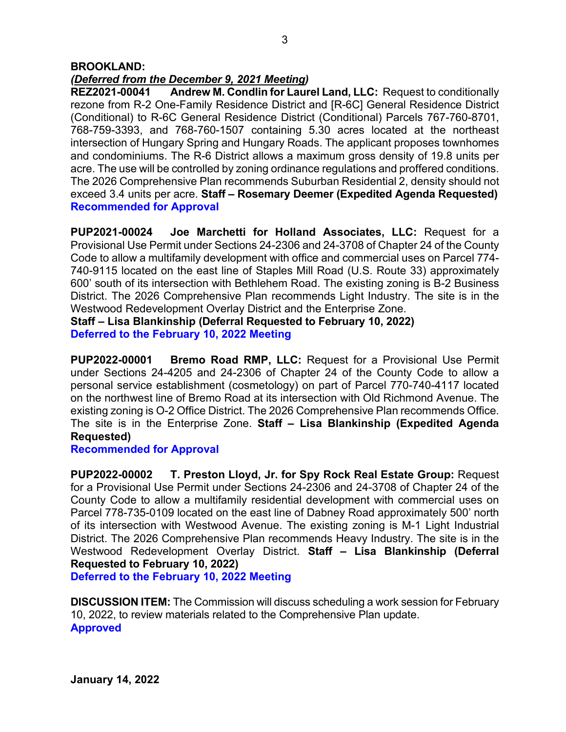### **BROOKLAND:**

*(Deferred from the December 9, 2021 Meeting)* **Andrew M. Condlin for Laurel Land, LLC: Request to conditionally** rezone from R-2 One-Family Residence District and [R-6C] General Residence District (Conditional) to R-6C General Residence District (Conditional) Parcels 767-760-8701, 768-759-3393, and 768-760-1507 containing 5.30 acres located at the northeast intersection of Hungary Spring and Hungary Roads. The applicant proposes townhomes and condominiums. The R-6 District allows a maximum gross density of 19.8 units per acre. The use will be controlled by zoning ordinance regulations and proffered conditions. The 2026 Comprehensive Plan recommends Suburban Residential 2, density should not exceed 3.4 units per acre. **Staff – Rosemary Deemer (Expedited Agenda Requested) Recommended for Approval**

**PUP2021-00024 Joe Marchetti for Holland Associates, LLC:** Request for a Provisional Use Permit under Sections 24-2306 and 24-3708 of Chapter 24 of the County Code to allow a multifamily development with office and commercial uses on Parcel 774- 740-9115 located on the east line of Staples Mill Road (U.S. Route 33) approximately 600' south of its intersection with Bethlehem Road. The existing zoning is B-2 Business District. The 2026 Comprehensive Plan recommends Light Industry. The site is in the Westwood Redevelopment Overlay District and the Enterprise Zone.

**Staff – Lisa Blankinship (Deferral Requested to February 10, 2022) Deferred to the February 10, 2022 Meeting**

**PUP2022-00001 Bremo Road RMP, LLC:** Request for a Provisional Use Permit under Sections 24-4205 and 24-2306 of Chapter 24 of the County Code to allow a personal service establishment (cosmetology) on part of Parcel 770-740-4117 located on the northwest line of Bremo Road at its intersection with Old Richmond Avenue. The existing zoning is O-2 Office District. The 2026 Comprehensive Plan recommends Office. The site is in the Enterprise Zone. **Staff – Lisa Blankinship (Expedited Agenda Requested)**

# **Recommended for Approval**

**PUP2022-00002 T. Preston Lloyd, Jr. for Spy Rock Real Estate Group:** Request for a Provisional Use Permit under Sections 24-2306 and 24-3708 of Chapter 24 of the County Code to allow a multifamily residential development with commercial uses on Parcel 778-735-0109 located on the east line of Dabney Road approximately 500' north of its intersection with Westwood Avenue. The existing zoning is M-1 Light Industrial District. The 2026 Comprehensive Plan recommends Heavy Industry. The site is in the Westwood Redevelopment Overlay District. **Staff – Lisa Blankinship (Deferral Requested to February 10, 2022)**

**Deferred to the February 10, 2022 Meeting**

**DISCUSSION ITEM:** The Commission will discuss scheduling a work session for February 10, 2022, to review materials related to the Comprehensive Plan update. **Approved**